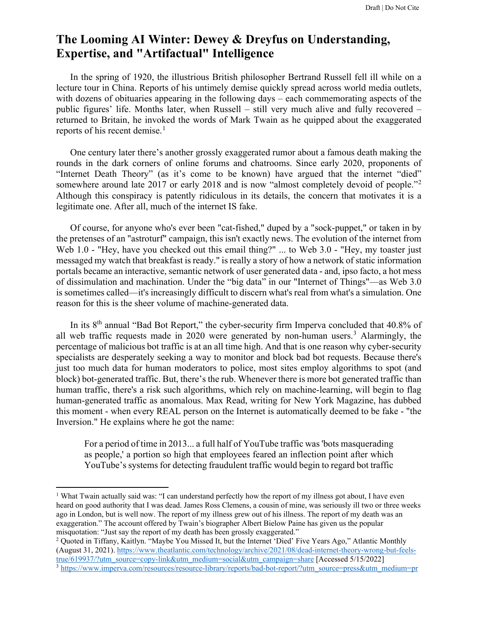## **The Looming AI Winter: Dewey & Dreyfus on Understanding, Expertise, and "Artifactual" Intelligence**

In the spring of 1920, the illustrious British philosopher Bertrand Russell fell ill while on a lecture tour in China. Reports of his untimely demise quickly spread across world media outlets, with dozens of obituaries appearing in the following days – each commemorating aspects of the public figures' life. Months later, when Russell – still very much alive and fully recovered – returned to Britain, he invoked the words of Mark Twain as he quipped about the exaggerated reports of his recent demise.<sup>[1](#page-0-0)</sup>

One century later there's another grossly exaggerated rumor about a famous death making the rounds in the dark corners of online forums and chatrooms. Since early 2020, proponents of "Internet Death Theory" (as it's come to be known) have argued that the internet "died" somewhere around late [2](#page-0-1)017 or early 2018 and is now "almost completely devoid of people."<sup>2</sup> Although this conspiracy is patently ridiculous in its details, the concern that motivates it is a legitimate one. After all, much of the internet IS fake.

Of course, for anyone who's ever been "cat-fished," duped by a "sock-puppet," or taken in by the pretenses of an "astroturf" campaign, this isn't exactly news. The evolution of the internet from Web 1.0 - "Hey, have you checked out this email thing?" ... to Web 3.0 - "Hey, my toaster just messaged my watch that breakfast is ready." is really a story of how a network of static information portals became an interactive, semantic network of user generated data - and, ipso facto, a hot mess of dissimulation and machination. Under the "big data" in our "Internet of Things"—as Web 3.0 is sometimes called—it's increasingly difficult to discern what's real from what's a simulation. One reason for this is the sheer volume of machine-generated data.

In its  $8<sup>th</sup>$  annual "Bad Bot Report," the cyber-security firm Imperva concluded that 40.8% of all web traffic requests made in 2020 were generated by non-human users.<sup>[3](#page-0-2)</sup> Alarmingly, the percentage of malicious bot traffic is at an all time high. And that is one reason why cyber-security specialists are desperately seeking a way to monitor and block bad bot requests. Because there's just too much data for human moderators to police, most sites employ algorithms to spot (and block) bot-generated traffic. But, there's the rub. Whenever there is more bot generated traffic than human traffic, there's a risk such algorithms, which rely on machine-learning, will begin to flag human-generated traffic as anomalous. Max Read, writing for New York Magazine, has dubbed this moment - when every REAL person on the Internet is automatically deemed to be fake - "the Inversion." He explains where he got the name:

For a period of time in 2013... a full half of YouTube traffic was 'bots masquerading as people,' a portion so high that employees feared an inflection point after which YouTube's systems for detecting fraudulent traffic would begin to regard bot traffic

<span id="page-0-0"></span><sup>&</sup>lt;sup>1</sup> What Twain actually said was: "I can understand perfectly how the report of my illness got about, I have even heard on good authority that I was dead. James Ross Clemens, a cousin of mine, was seriously ill two or three weeks ago in London, but is well now. The report of my illness grew out of his illness. The report of my death was an exaggeration." The account offered by Twain's biographer Albert Bielow Paine has given us the popular misquotation: "Just say the report of my death has been grossly exaggerated."

<span id="page-0-1"></span><sup>&</sup>lt;sup>2</sup> Quoted in Tiffany, Kaitlyn. "Maybe You Missed It, but the Internet 'Died' Five Years Ago," Atlantic Monthly (August 31, 2021). https://www.theatlantic.com/technology/archive/2021/08/dead-internet-theory-wrong-but-feels-<br>true/619937/?utm\_source=copy-link&utm\_medium=social&utm\_campaign=share [Accessed 5/15/2022]

<span id="page-0-2"></span><sup>&</sup>lt;sup>3</sup> https://www.imperva.com/resources/resource-library/reports/bad-bot-report/?utm\_source=press&utm\_medium=pr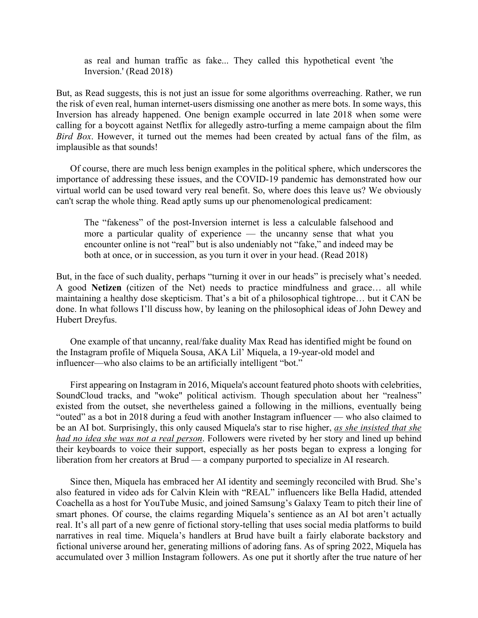as real and human traffic as fake... They called this hypothetical event 'the Inversion.' (Read 2018)

But, as Read suggests, this is not just an issue for some algorithms overreaching. Rather, we run the risk of even real, human internet-users dismissing one another as mere bots. In some ways, this Inversion has already happened. One benign example occurred in late 2018 when some were calling for a boycott against Netflix for allegedly astro-turfing a meme campaign about the film *Bird Box*. However, it turned out the memes had been created by actual fans of the film, as implausible as that sounds!

Of course, there are much less benign examples in the political sphere, which underscores the importance of addressing these issues, and the COVID-19 pandemic has demonstrated how our virtual world can be used toward very real benefit. So, where does this leave us? We obviously can't scrap the whole thing. Read aptly sums up our phenomenological predicament:

The "fakeness" of the post-Inversion internet is less a calculable falsehood and more a particular quality of experience — the uncanny sense that what you encounter online is not "real" but is also undeniably not "fake," and indeed may be both at once, or in succession, as you turn it over in your head. (Read 2018)

But, in the face of such duality, perhaps "turning it over in our heads" is precisely what's needed. A good **Netizen** (citizen of the Net) needs to practice mindfulness and grace… all while maintaining a healthy dose skepticism. That's a bit of a philosophical tightrope… but it CAN be done. In what follows I'll discuss how, by leaning on the philosophical ideas of John Dewey and Hubert Dreyfus.

One example of that uncanny, real/fake duality Max Read has identified might be found on the Instagram profile of Miquela Sousa, AKA Lil' Miquela, a 19-year-old model and influencer—who also claims to be an artificially intelligent "bot."

First appearing on Instagram in 2016, Miquela's account featured photo shoots with celebrities, SoundCloud tracks, and "woke" political activism. Though speculation about her "realness" existed from the outset, she nevertheless gained a following in the millions, eventually being "outed" as a bot in 2018 during a feud with another Instagram influencer — who also claimed to be an AI bot. Surprisingly, this only caused Miquela's star to rise higher, *as she insisted that she had no idea she was not a real person*. Followers were riveted by her story and lined up behind their keyboards to voice their support, especially as her posts began to express a longing for liberation from her creators at Brud — a company purported to specialize in AI research.

Since then, Miquela has embraced her AI identity and seemingly reconciled with Brud. She's also featured in video ads for Calvin Klein with "REAL" influencers like Bella Hadid, attended Coachella as a host for YouTube Music, and joined Samsung's Galaxy Team to pitch their line of smart phones. Of course, the claims regarding Miquela's sentience as an AI bot aren't actually real. It's all part of a new genre of fictional story-telling that uses social media platforms to build narratives in real time. Miquela's handlers at Brud have built a fairly elaborate backstory and fictional universe around her, generating millions of adoring fans. As of spring 2022, Miquela has accumulated over 3 million Instagram followers. As one put it shortly after the true nature of her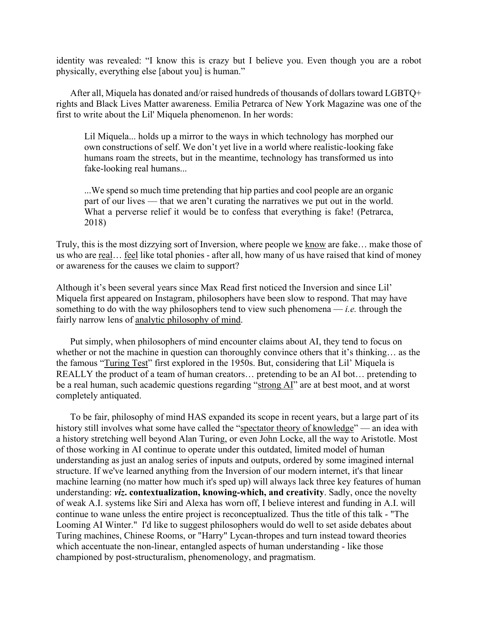identity was revealed: "I know this is crazy but I believe you. Even though you are a robot physically, everything else [about you] is human."

After all, Miquela has donated and/or raised hundreds of thousands of dollars toward LGBTQ+ rights and Black Lives Matter awareness. Emilia Petrarca of New York Magazine was one of the first to write about the Lil' Miquela phenomenon. In her words:

Lil Miquela... holds up a mirror to the ways in which technology has morphed our own constructions of self. We don't yet live in a world where realistic-looking fake humans roam the streets, but in the meantime, technology has transformed us into fake-looking real humans...

...We spend so much time pretending that hip parties and cool people are an organic part of our lives — that we aren't curating the narratives we put out in the world. What a perverse relief it would be to confess that everything is fake! (Petrarca, 2018)

Truly, this is the most dizzying sort of Inversion, where people we know are fake… make those of us who are real… feel like total phonies - after all, how many of us have raised that kind of money or awareness for the causes we claim to support?

Although it's been several years since Max Read first noticed the Inversion and since Lil' Miquela first appeared on Instagram, philosophers have been slow to respond. That may have something to do with the way philosophers tend to view such phenomena — *i.e.* through the fairly narrow lens of [analytic philosophy of mind.](http://consc.net/guide/)

Put simply, when philosophers of mind encounter claims about AI, they tend to focus on whether or not the machine in question can thoroughly convince others that it's thinking… as the the famous ["Turing Test"](https://plato.stanford.edu/entries/turing-test/) first explored in the 1950s. But, considering that Lil' Miquela is REALLY the product of a team of human creators… pretending to be an AI bot… pretending to be a real human, such academic questions regarding ["strong AI"](https://www.ocf.berkeley.edu/%7Earihuang/academic/research/strongai3.html) are at best moot, and at worst completely antiquated.

To be fair, philosophy of mind HAS expanded its scope in recent years, but a large part of its history still involves what some have called the ["spectator theory of knowledge"](https://iep.utm.edu/pragmati/#SH2d) — an idea with a history stretching well beyond Alan Turing, or even John Locke, all the way to Aristotle. Most of those working in AI continue to operate under this outdated, limited model of human understanding as just an analog series of inputs and outputs, ordered by some imagined internal structure. If we've learned anything from the Inversion of our modern internet, it's that linear machine learning (no matter how much it's sped up) will always lack three key features of human understanding: *viz***. contextualization, knowing-which, and creativity**. Sadly, once the novelty of weak A.I. systems like Siri and Alexa has worn off, I believe interest and funding in A.I. will continue to wane unless the entire project is reconceptualized. Thus the title of this talk - "The Looming AI Winter." I'd like to suggest philosophers would do well to set aside debates about Turing machines, Chinese Rooms, or "Harry" Lycan-thropes and turn instead toward theories which accentuate the non-linear, entangled aspects of human understanding - like those championed by post-structuralism, phenomenology, and pragmatism.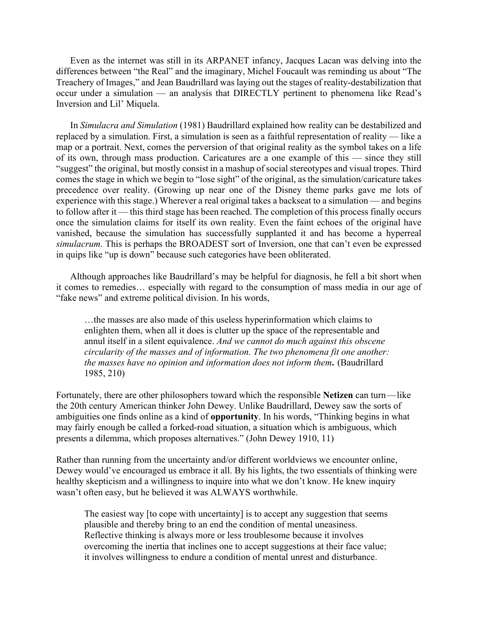Even as the internet was still in its ARPANET infancy, Jacques Lacan was delving into the differences between "the Real" and the imaginary, Michel Foucault was reminding us about "The Treachery of Images," and Jean Baudrillard was laying out the stages of reality-destabilization that occur under a simulation — an analysis that DIRECTLY pertinent to phenomena like Read's Inversion and Lil' Miquela.

In *Simulacra and Simulation* (1981) Baudrillard explained how reality can be destabilized and replaced by a simulation. First, a simulation is seen as a faithful representation of reality — like a map or a portrait. Next, comes the perversion of that original reality as the symbol takes on a life of its own, through mass production. Caricatures are a one example of this — since they still "suggest" the original, but mostly consist in a mashup of social stereotypes and visual tropes. Third comes the stage in which we begin to "lose sight" of the original, as the simulation/caricature takes precedence over reality. (Growing up near one of the Disney theme parks gave me lots of experience with this stage.) Wherever a real original takes a backseat to a simulation — and begins to follow after it — this third stage has been reached. The completion of this process finally occurs once the simulation claims for itself its own reality. Even the faint echoes of the original have vanished, because the simulation has successfully supplanted it and has become a hyperreal *simulacrum*. This is perhaps the BROADEST sort of Inversion, one that can't even be expressed in quips like "up is down" because such categories have been obliterated.

Although approaches like Baudrillard's may be helpful for diagnosis, he fell a bit short when it comes to remedies… especially with regard to the consumption of mass media in our age of "fake news" and extreme political division. In his words,

…the masses are also made of this useless hyperinformation which claims to enlighten them, when all it does is clutter up the space of the representable and annul itself in a silent equivalence. *And we cannot do much against this obscene circularity of the masses and of information. The two phenomena fit one another: the masses have no opinion and information does not inform them***.**  (Baudrillard 1985, 210)

Fortunately, there are other philosophers toward which the responsible **Netizen** can turn — like the 20th century American thinker John Dewey. Unlike Baudrillard, Dewey saw the sorts of ambiguities one finds online as a kind of **opportunity**. In his words, "Thinking begins in what may fairly enough be called a forked-road situation, a situation which is ambiguous, which presents a dilemma, which proposes alternatives." (John Dewey 1910, 11)

Rather than running from the uncertainty and/or different worldviews we encounter online, Dewey would've encouraged us embrace it all. By his lights, the two essentials of thinking were healthy skepticism and a willingness to inquire into what we don't know. He knew inquiry wasn't often easy, but he believed it was ALWAYS worthwhile.

The easiest way [to cope with uncertainty] is to accept any suggestion that seems plausible and thereby bring to an end the condition of mental uneasiness. Reflective thinking is always more or less troublesome because it involves overcoming the inertia that inclines one to accept suggestions at their face value; it involves willingness to endure a condition of mental unrest and disturbance.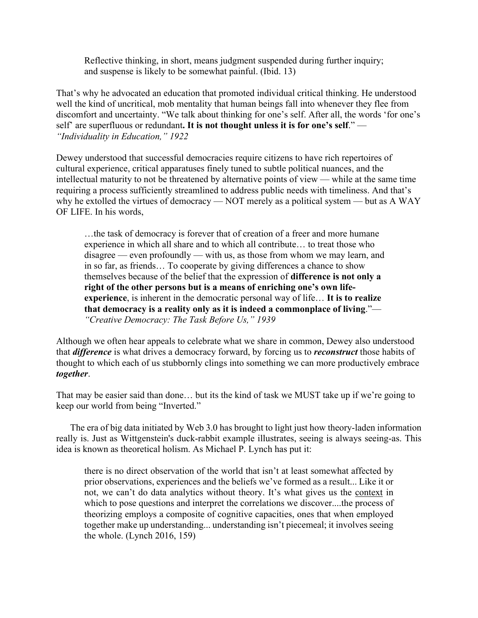Reflective thinking, in short, means judgment suspended during further inquiry; and suspense is likely to be somewhat painful. (Ibid. 13)

That's why he advocated an education that promoted individual critical thinking. He understood well the kind of uncritical, mob mentality that human beings fall into whenever they flee from discomfort and uncertainty. "We talk about thinking for one's self. After all, the words 'for one's self' are superfluous or redundant**. It is not thought unless it is for one's self**." — *"Individuality in Education," 1922*

Dewey understood that successful democracies require citizens to have rich repertoires of cultural experience, critical apparatuses finely tuned to subtle political nuances, and the intellectual maturity to not be threatened by alternative points of view — while at the same time requiring a process sufficiently streamlined to address public needs with timeliness. And that's why he extolled the virtues of democracy — NOT merely as a political system — but as A WAY OF LIFE. In his words,

…the task of democracy is forever that of creation of a freer and more humane experience in which all share and to which all contribute… to treat those who disagree — even profoundly — with us, as those from whom we may learn, and in so far, as friends… To cooperate by giving differences a chance to show themselves because of the belief that the expression of **difference is not only a right of the other persons but is a means of enriching one's own lifeexperience**, is inherent in the democratic personal way of life… **It is to realize that democracy is a reality only as it is indeed a commonplace of living**."— *"Creative Democracy: The Task Before Us," 1939*

Although we often hear appeals to celebrate what we share in common, Dewey also understood that *difference* is what drives a democracy forward, by forcing us to *reconstruct* those habits of thought to which each of us stubbornly clings into something we can more productively embrace *together*.

That may be easier said than done… but its the kind of task we MUST take up if we're going to keep our world from being "Inverted."

The era of big data initiated by Web 3.0 has brought to light just how theory-laden information really is. Just as Wittgenstein's duck-rabbit example illustrates, seeing is always seeing-as. This idea is known as theoretical holism. As Michael P. Lynch has put it:

there is no direct observation of the world that isn't at least somewhat affected by prior observations, experiences and the beliefs we've formed as a result... Like it or not, we can't do data analytics without theory. It's what gives us the context in which to pose questions and interpret the correlations we discover....the process of theorizing employs a composite of cognitive capacities, ones that when employed together make up understanding... understanding isn't piecemeal; it involves seeing the whole. (Lynch 2016, 159)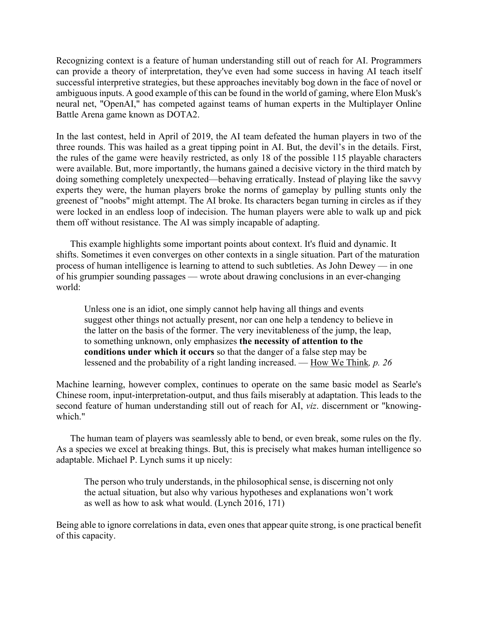Recognizing context is a feature of human understanding still out of reach for AI. Programmers can provide a theory of interpretation, they've even had some success in having AI teach itself successful interpretive strategies, but these approaches inevitably bog down in the face of novel or ambiguous inputs. A good example of this can be found in the world of gaming, where Elon Musk's neural net, "OpenAI," has competed against teams of human experts in the Multiplayer Online Battle Arena game known as DOTA2.

In the last contest, held in April of 2019, the AI team defeated the human players in two of the three rounds. This was hailed as a great tipping point in AI. But, the devil's in the details. First, the rules of the game were heavily restricted, as only 18 of the possible 115 playable characters were available. But, more importantly, the humans gained a decisive victory in the third match by doing something completely unexpected—behaving erratically. Instead of playing like the savvy experts they were, the human players broke the norms of gameplay by pulling stunts only the greenest of "noobs" might attempt. The AI broke. Its characters began turning in circles as if they were locked in an endless loop of indecision. The human players were able to walk up and pick them off without resistance. The AI was simply incapable of adapting.

This example highlights some important points about context. It's fluid and dynamic. It shifts. Sometimes it even converges on other contexts in a single situation. Part of the maturation process of human intelligence is learning to attend to such subtleties. As John Dewey — in one of his grumpier sounding passages — wrote about drawing conclusions in an ever-changing world:

Unless one is an idiot, one simply cannot help having all things and events suggest other things not actually present, nor can one help a tendency to believe in the latter on the basis of the former. The very inevitableness of the jump, the leap, to something unknown, only emphasizes **the necessity of attention to the conditions under which it occurs** so that the danger of a false step may be lessened and the probability of a right landing increased. — [How We Think](https://www.gutenberg.org/files/37423/37423-h/37423-h.htm)*, p. 26*

Machine learning, however complex, continues to operate on the same basic model as Searle's Chinese room, input-interpretation-output, and thus fails miserably at adaptation. This leads to the second feature of human understanding still out of reach for AI, *viz*. discernment or "knowingwhich."

The human team of players was seamlessly able to bend, or even break, some rules on the fly. As a species we excel at breaking things. But, this is precisely what makes human intelligence so adaptable. Michael P. Lynch sums it up nicely:

The person who truly understands, in the philosophical sense, is discerning not only the actual situation, but also why various hypotheses and explanations won't work as well as how to ask what would. (Lynch 2016, 171)

Being able to ignore correlations in data, even ones that appear quite strong, is one practical benefit of this capacity.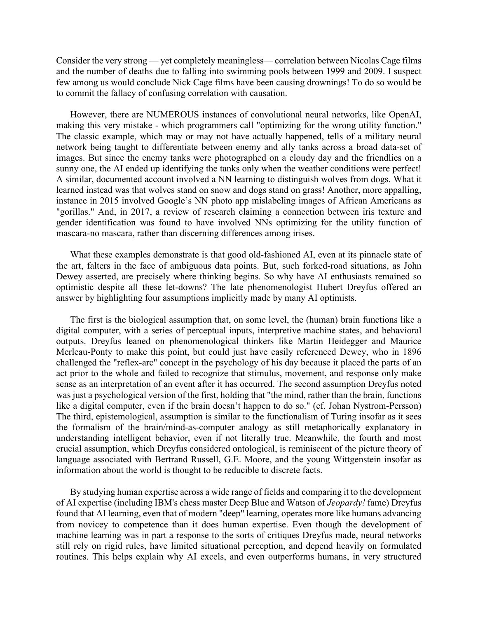Consider the very strong — yet completely meaningless— correlation between Nicolas Cage films and the number of deaths due to falling into swimming pools between 1999 and 2009. I suspect few among us would conclude Nick Cage films have been causing drownings! To do so would be to commit the fallacy of confusing correlation with causation.

However, there are NUMEROUS instances of convolutional neural networks, like OpenAI, making this very mistake - which programmers call "optimizing for the wrong utility function." The classic example, which may or may not have actually happened, tells of a military neural network being taught to differentiate between enemy and ally tanks across a broad data-set of images. But since the enemy tanks were photographed on a cloudy day and the friendlies on a sunny one, the AI ended up identifying the tanks only when the weather conditions were perfect! A similar, documented account involved a NN learning to distinguish wolves from dogs. What it learned instead was that wolves stand on snow and dogs stand on grass! Another, more appalling, instance in 2015 involved Google's NN photo app mislabeling images of African Americans as "gorillas." And, in 2017, a review of research claiming a connection between iris texture and gender identification was found to have involved NNs optimizing for the utility function of mascara-no mascara, rather than discerning differences among irises.

What these examples demonstrate is that good old-fashioned AI, even at its pinnacle state of the art, falters in the face of ambiguous data points. But, such forked-road situations, as John Dewey asserted, are precisely where thinking begins. So why have AI enthusiasts remained so optimistic despite all these let-downs? The late phenomenologist Hubert Dreyfus offered an answer by highlighting four assumptions implicitly made by many AI optimists.

The first is the biological assumption that, on some level, the (human) brain functions like a digital computer, with a series of perceptual inputs, interpretive machine states, and behavioral outputs. Dreyfus leaned on phenomenological thinkers like Martin Heidegger and Maurice Merleau-Ponty to make this point, but could just have easily referenced Dewey, who in 1896 challenged the "reflex-arc" concept in the psychology of his day because it placed the parts of an act prior to the whole and failed to recognize that stimulus, movement, and response only make sense as an interpretation of an event after it has occurred. The second assumption Dreyfus noted was just a psychological version of the first, holding that "the mind, rather than the brain, functions like a digital computer, even if the brain doesn't happen to do so." (cf. Johan Nystrom-Persson) The third, epistemological, assumption is similar to the functionalism of Turing insofar as it sees the formalism of the brain/mind-as-computer analogy as still metaphorically explanatory in understanding intelligent behavior, even if not literally true. Meanwhile, the fourth and most crucial assumption, which Dreyfus considered ontological, is reminiscent of the picture theory of language associated with Bertrand Russell, G.E. Moore, and the young Wittgenstein insofar as information about the world is thought to be reducible to discrete facts.

By studying human expertise across a wide range of fields and comparing it to the development of AI expertise (including IBM's chess master Deep Blue and Watson of *Jeopardy!* fame) Dreyfus found that AI learning, even that of modern "deep" learning, operates more like humans advancing from novicey to competence than it does human expertise. Even though the development of machine learning was in part a response to the sorts of critiques Dreyfus made, neural networks still rely on rigid rules, have limited situational perception, and depend heavily on formulated routines. This helps explain why AI excels, and even outperforms humans, in very structured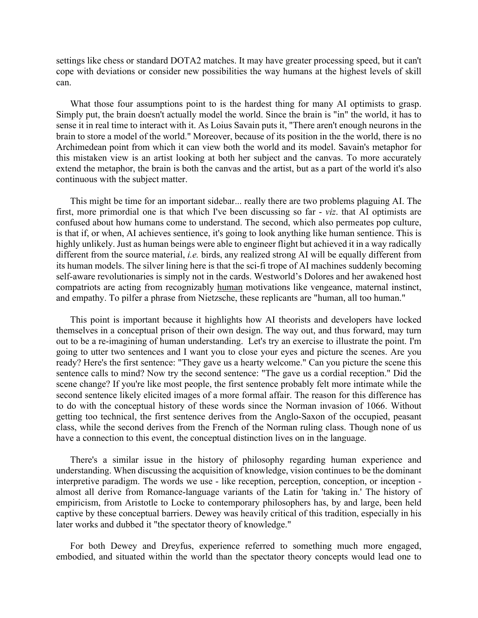settings like chess or standard DOTA2 matches. It may have greater processing speed, but it can't cope with deviations or consider new possibilities the way humans at the highest levels of skill can.

What those four assumptions point to is the hardest thing for many AI optimists to grasp. Simply put, the brain doesn't actually model the world. Since the brain is "in" the world, it has to sense it in real time to interact with it. As Loius Savain puts it, "There aren't enough neurons in the brain to store a model of the world." Moreover, because of its position in the the world, there is no Archimedean point from which it can view both the world and its model. Savain's metaphor for this mistaken view is an artist looking at both her subject and the canvas. To more accurately extend the metaphor, the brain is both the canvas and the artist, but as a part of the world it's also continuous with the subject matter.

This might be time for an important sidebar... really there are two problems plaguing AI. The first, more primordial one is that which I've been discussing so far - *viz*. that AI optimists are confused about how humans come to understand. The second, which also permeates pop culture, is that if, or when, AI achieves sentience, it's going to look anything like human sentience. This is highly unlikely. Just as human beings were able to engineer flight but achieved it in a way radically different from the source material, *i.e.* birds, any realized strong AI will be equally different from its human models. The silver lining here is that the sci-fi trope of AI machines suddenly becoming self-aware revolutionaries is simply not in the cards. Westworld's Dolores and her awakened host compatriots are acting from recognizably human motivations like vengeance, maternal instinct, and empathy. To pilfer a phrase from Nietzsche, these replicants are "human, all too human."

This point is important because it highlights how AI theorists and developers have locked themselves in a conceptual prison of their own design. The way out, and thus forward, may turn out to be a re-imagining of human understanding. Let's try an exercise to illustrate the point. I'm going to utter two sentences and I want you to close your eyes and picture the scenes. Are you ready? Here's the first sentence: "They gave us a hearty welcome." Can you picture the scene this sentence calls to mind? Now try the second sentence: "The gave us a cordial reception." Did the scene change? If you're like most people, the first sentence probably felt more intimate while the second sentence likely elicited images of a more formal affair. The reason for this difference has to do with the conceptual history of these words since the Norman invasion of 1066. Without getting too technical, the first sentence derives from the Anglo-Saxon of the occupied, peasant class, while the second derives from the French of the Norman ruling class. Though none of us have a connection to this event, the conceptual distinction lives on in the language.

There's a similar issue in the history of philosophy regarding human experience and understanding. When discussing the acquisition of knowledge, vision continues to be the dominant interpretive paradigm. The words we use - like reception, perception, conception, or inception almost all derive from Romance-language variants of the Latin for 'taking in.' The history of empiricism, from Aristotle to Locke to contemporary philosophers has, by and large, been held captive by these conceptual barriers. Dewey was heavily critical of this tradition, especially in his later works and dubbed it "the spectator theory of knowledge."

For both Dewey and Dreyfus, experience referred to something much more engaged, embodied, and situated within the world than the spectator theory concepts would lead one to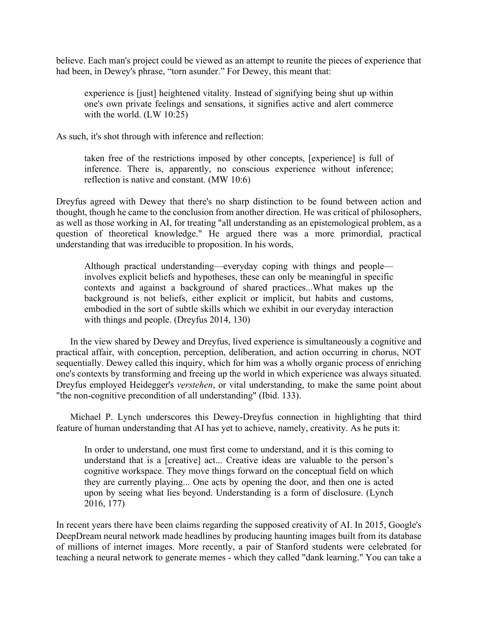believe. Each man's project could be viewed as an attempt to reunite the pieces of experience that had been, in Dewey's phrase, "torn asunder." For Dewey, this meant that:

experience is [just] heightened vitality. Instead of signifying being shut up within one's own private feelings and sensations, it signifies active and alert commerce with the world. (LW 10:25)

As such, it's shot through with inference and reflection:

taken free of the restrictions imposed by other concepts, [experience] is full of inference. There is, apparently, no conscious experience without inference; reflection is native and constant. (MW 10:6)

Dreyfus agreed with Dewey that there's no sharp distinction to be found between action and thought, though he came to the conclusion from another direction. He was critical of philosophers, as well as those working in AI, for treating "all understanding as an epistemological problem, as a question of theoretical knowledge." He argued there was a more primordial, practical understanding that was irreducible to proposition. In his words,

Although practical understanding—everyday coping with things and people involves explicit beliefs and hypotheses, these can only be meaningful in specific contexts and against a background of shared practices...What makes up the background is not beliefs, either explicit or implicit, but habits and customs, embodied in the sort of subtle skills which we exhibit in our everyday interaction with things and people. (Dreyfus 2014, 130)

In the view shared by Dewey and Dreyfus, lived experience is simultaneously a cognitive and practical affair, with conception, perception, deliberation, and action occurring in chorus, NOT sequentially. Dewey called this inquiry, which for him was a wholly organic process of enriching one's contexts by transforming and freeing up the world in which experience was always situated. Dreyfus employed Heidegger's *verstehen*, or vital understanding, to make the same point about "the non-cognitive precondition of all understanding" (Ibid. 133).

Michael P. Lynch underscores this Dewey-Dreyfus connection in highlighting that third feature of human understanding that AI has yet to achieve, namely, creativity. As he puts it:

In order to understand, one must first come to understand, and it is this coming to understand that is a [creative] act... Creative ideas are valuable to the person's cognitive workspace. They move things forward on the conceptual field on which they are currently playing... One acts by opening the door, and then one is acted upon by seeing what lies beyond. Understanding is a form of disclosure. (Lynch 2016, 177)

In recent years there have been claims regarding the supposed creativity of AI. In 2015, Google's DeepDream neural network made headlines by producing haunting images built from its database of millions of internet images. More recently, a pair of Stanford students were celebrated for teaching a neural network to generate memes - which they called "dank learning." You can take a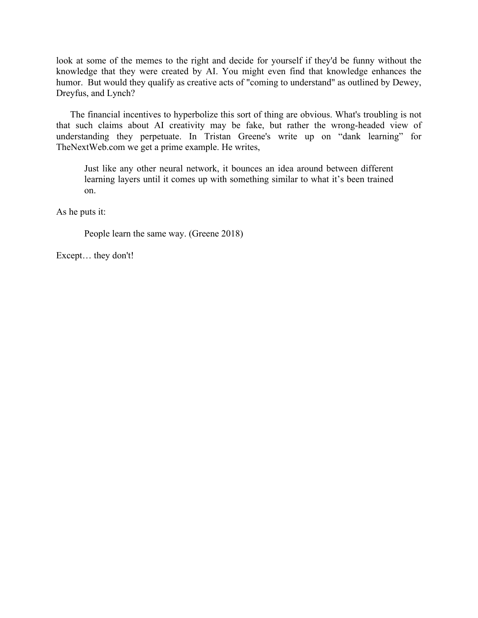look at some of the memes to the right and decide for yourself if they'd be funny without the knowledge that they were created by AI. You might even find that knowledge enhances the humor. But would they qualify as creative acts of "coming to understand" as outlined by Dewey, Dreyfus, and Lynch?

The financial incentives to hyperbolize this sort of thing are obvious. What's troubling is not that such claims about AI creativity may be fake, but rather the wrong-headed view of understanding they perpetuate. In Tristan Greene's write up on "dank learning" for TheNextWeb.com we get a prime example. He writes,

Just like any other neural network, it bounces an idea around between different learning layers until it comes up with something similar to what it's been trained on.

As he puts it:

People learn the same way. (Greene 2018)

Except… they don't!